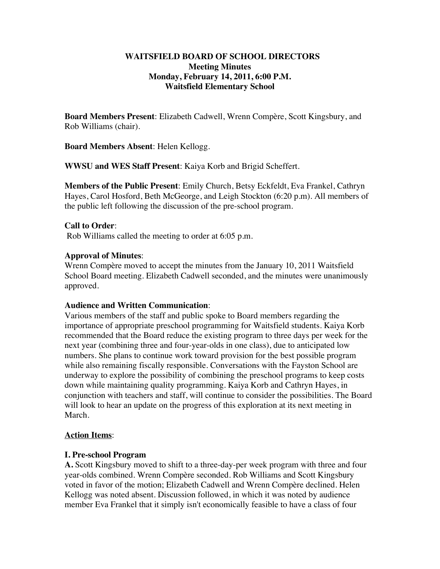## **WAITSFIELD BOARD OF SCHOOL DIRECTORS Meeting Minutes Monday, February 14, 2011, 6:00 P.M. Waitsfield Elementary School**

**Board Members Present**: Elizabeth Cadwell, Wrenn Compère, Scott Kingsbury, and Rob Williams (chair).

**Board Members Absent**: Helen Kellogg.

**WWSU and WES Staff Present**: Kaiya Korb and Brigid Scheffert.

**Members of the Public Present**: Emily Church, Betsy Eckfeldt, Eva Frankel, Cathryn Hayes, Carol Hosford, Beth McGeorge, and Leigh Stockton (6:20 p.m). All members of the public left following the discussion of the pre-school program.

# **Call to Order**:

Rob Williams called the meeting to order at 6:05 p.m.

## **Approval of Minutes**:

Wrenn Compère moved to accept the minutes from the January 10, 2011 Waitsfield School Board meeting. Elizabeth Cadwell seconded, and the minutes were unanimously approved.

#### **Audience and Written Communication**:

Various members of the staff and public spoke to Board members regarding the importance of appropriate preschool programming for Waitsfield students. Kaiya Korb recommended that the Board reduce the existing program to three days per week for the next year (combining three and four-year-olds in one class), due to anticipated low numbers. She plans to continue work toward provision for the best possible program while also remaining fiscally responsible. Conversations with the Fayston School are underway to explore the possibility of combining the preschool programs to keep costs down while maintaining quality programming. Kaiya Korb and Cathryn Hayes, in conjunction with teachers and staff, will continue to consider the possibilities. The Board will look to hear an update on the progress of this exploration at its next meeting in March.

# **Action Items**:

#### **I. Pre-school Program**

**A.** Scott Kingsbury moved to shift to a three-day-per week program with three and four year-olds combined. Wrenn Compère seconded. Rob Williams and Scott Kingsbury voted in favor of the motion; Elizabeth Cadwell and Wrenn Compère declined. Helen Kellogg was noted absent. Discussion followed, in which it was noted by audience member Eva Frankel that it simply isn't economically feasible to have a class of four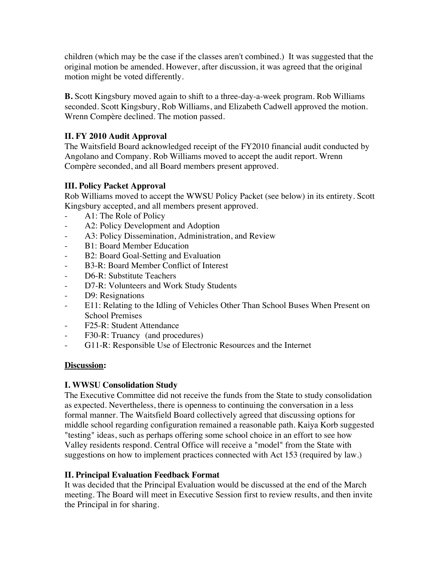children (which may be the case if the classes aren't combined.) It was suggested that the original motion be amended. However, after discussion, it was agreed that the original motion might be voted differently.

**B.** Scott Kingsbury moved again to shift to a three-day-a-week program. Rob Williams seconded. Scott Kingsbury, Rob Williams, and Elizabeth Cadwell approved the motion. Wrenn Compère declined. The motion passed.

# **II. FY 2010 Audit Approval**

The Waitsfield Board acknowledged receipt of the FY2010 financial audit conducted by Angolano and Company. Rob Williams moved to accept the audit report. Wrenn Compère seconded, and all Board members present approved.

# **III. Policy Packet Approval**

Rob Williams moved to accept the WWSU Policy Packet (see below) in its entirety. Scott Kingsbury accepted, and all members present approved.

- A1: The Role of Policy
- A2: Policy Development and Adoption
- A3: Policy Dissemination, Administration, and Review
- B1: Board Member Education
- B2: Board Goal-Setting and Evaluation
- B3-R: Board Member Conflict of Interest
- D6-R: Substitute Teachers
- D7-R: Volunteers and Work Study Students
- D9: Resignations
- E11: Relating to the Idling of Vehicles Other Than School Buses When Present on School Premises
- F25-R: Student Attendance
- F30-R: Truancy (and procedures)
- G11-R: Responsible Use of Electronic Resources and the Internet

# **Discussion:**

# **I. WWSU Consolidation Study**

The Executive Committee did not receive the funds from the State to study consolidation as expected. Nevertheless, there is openness to continuing the conversation in a less formal manner. The Waitsfield Board collectively agreed that discussing options for middle school regarding configuration remained a reasonable path. Kaiya Korb suggested "testing" ideas, such as perhaps offering some school choice in an effort to see how Valley residents respond. Central Office will receive a "model" from the State with suggestions on how to implement practices connected with Act 153 (required by law.)

# **II. Principal Evaluation Feedback Format**

It was decided that the Principal Evaluation would be discussed at the end of the March meeting. The Board will meet in Executive Session first to review results, and then invite the Principal in for sharing.